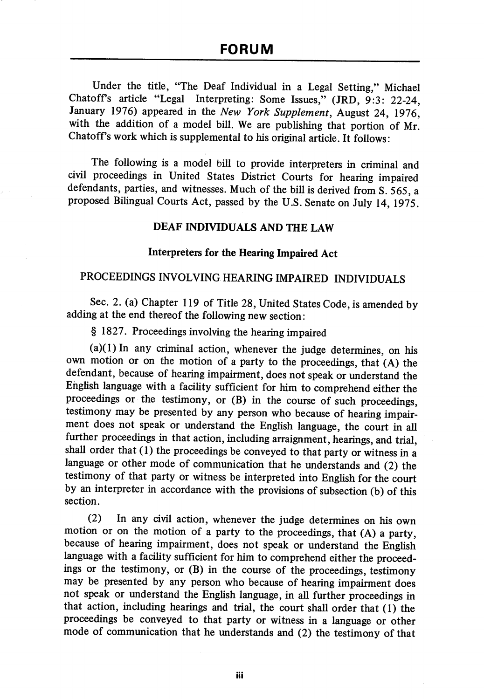Under the title, "The Deaf Individual in a Legal Setting," Michael Chatoffs article "Legal Interpreting: Some Issues," (JRD, 9:3: 22-24, January 1976) appeared in the New York Supplement, August 24, 1976, with the addition of a model bill. We are publishing that portion of Mr. Chatoffs work which is supplemental to his original article. It follows:

The following is a model bill to provide interpreters in criminal and civil proceedings in United States District Courts for hearing impaired defendants, parties, and witnesses. Much of the bill is derived from S. 565, a proposed Bilingual Courts Act, passed by the U.S. Senate on July 14, 1975.

### DEAF INDIVIDUALS AND THE LAW

### Interpreters for the Hearing Impaired Act

# PROCEEDINGS INVOLVING HEARING IMPAIRED INDIVIDUALS

Sec. 2. (a) Chapter 119 of Title 28, United States Code, is amended by adding at the end thereof the following new section:

§ 1827. Proceedings involving the hearing impaired

 $(a)(1)$  In any criminal action, whenever the judge determines, on his own motion or on the motion of a party to the proceedings, that (A) the defendant, because of hearing impairment, does not speak or understand the English language with a facility sufficient for him to comprehend either the proceedings or the testimony, or (B) in the course of such proceedings, testimony may be presented by any person who because of hearing impair ment does not speak or understand the English language, the court in all further proceedings in that action, including arraignment, hearings, and trial, shall order that (1) the proceedings be conveyed to that party or witness in a language or other mode of commimication that he understands and (2) the testimony of that party or witness be interpreted into English for the court by an interpreter in accordance with the provisions of subsection (b) of this section.

(2) In any civil action, whenever the judge determines on his own motion or on the motion of a party to the proceedings, that (A) a party, because of hearing impairment, does not speak or understand the English language with a facility sufficient for him to comprehend either the proceedings or the testimony, or (B) in the course of the proceedings, testimony may be presented by any person who because of hearing impairment does not speak or understand the English language, in all further proceedings in that action, including hearings and trial, the court shall order that (1) the proceedings be conveyed to that party or witness in a language or other mode of communication that he understands and (2) the testimony of that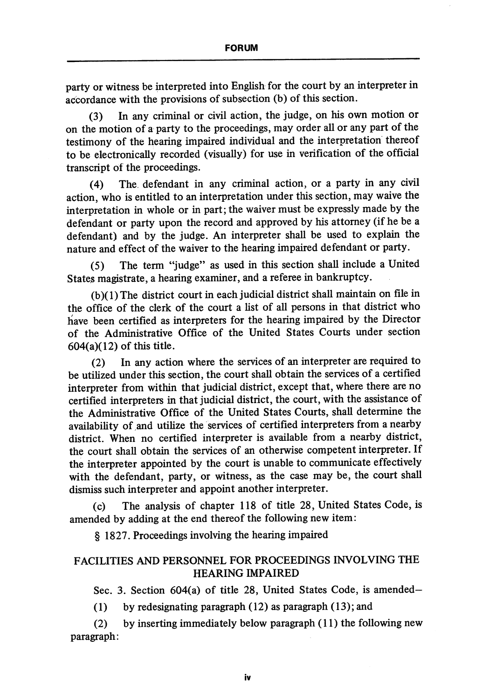party or witness be interpreted into English for the court by an interpreter in accordance with the provisions of subsection (b) of this section.

(3) In any criminal or civil action, the judge, on his own motion or on the motion of a party to the proceedings, may order all or any part of the testimony of the hearing impaired individual and the interpretation thereof to be electronically recorded (visually) for use in verification of the official transcript of the proceedings.

(4) The defendant in any criminal action, or a party in any civil action, who is entitled to an interpretation under this section, may waive the interpretation in whole or in part; the waiver must be expressly made by the defendant or party upon the record and approved by his attorney (if he be a defendant) and by the judge. An interpreter shall be used to explain the nature and effect of the waiver to the hearing impaired defendant or party.

(5) The term "judge" as used in this section shall include a United States magistrate, a hearing examiner, and a referee in bankruptcy.

(b)(1) The district court in each judicial district shall maintain on file in the office of the clerk of the court a list of all persons in that district who have been certified as interpreters for the hearing impaired by the Director of the Administrative Office of the United States Courts under section 604(a)(12) of this title.

(2) In any action where the services of an interpreter are required to be utilized imder this section, the court shall obtain the services of a certified interpreter from within that judicial district, except that, where there are no certified interpreters in that judicial district, the court, with the assistance of the Administrative Office of the United States Courts, shall determine the availability of and utilize the services of certified interpreters from a nearby district. When no certified interpreter is available from a nearby district, the court shall obtain the services of an otherwise competent interpreter. If the interpreter appointed by the court is unable to communicate effectively with the defendant, party, or witness, as the case may be, the court shall dismiss such interpreter and appoint another interpreter.

(c) The analysis of chapter 118 of title 28, United States Code, is amended by adding at the end thereof the following new item:

§ 1827. Proceedings involving the hearing impaired

## FACILITIES AND PERSONNEL FOR PROCEEDINGS INVOLVING THE HEARING IMPAIRED

Sec. 3. Section 604(a) of title 28, United States Code, is amended—

(1) by redesignating paragraph (12) as paragraph (13); and

(2) by inserting immediately below paragraph (11) the following new paragraph: